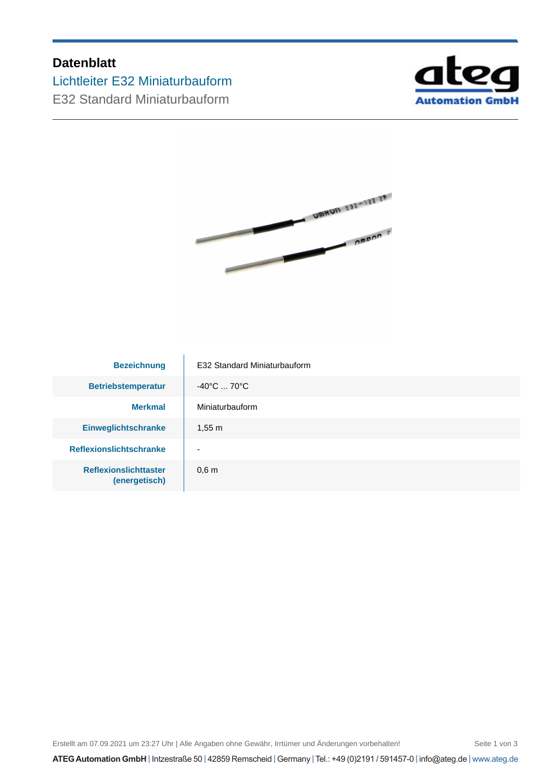# **Datenblatt**

Lichtleiter E32 Miniaturbauform

E32 Standard Miniaturbauform





| <b>Bezeichnung</b>                            | E32 Standard Miniaturbauform     |  |
|-----------------------------------------------|----------------------------------|--|
| <b>Betriebstemperatur</b>                     | $-40^{\circ}$ C  70 $^{\circ}$ C |  |
| <b>Merkmal</b>                                | Miniaturbauform                  |  |
| <b>Einweglichtschranke</b>                    | $1,55 \; m$                      |  |
| <b>Reflexionslichtschranke</b>                | $\overline{\phantom{0}}$         |  |
| <b>Reflexionslichttaster</b><br>(energetisch) | 0.6 <sub>m</sub>                 |  |

Erstellt am 07.09.2021 um 23:27 Uhr | Alle Angaben ohne Gewähr, Irrtümer und Änderungen vorbehalten! Seite 1 von 3

**ATEG Automation GmbH** | Intzestraße 50 | 42859 Remscheid | Germany | Tel.: +49 (0)2191 / 591457-0 | info@ateg.de | www.ateg.de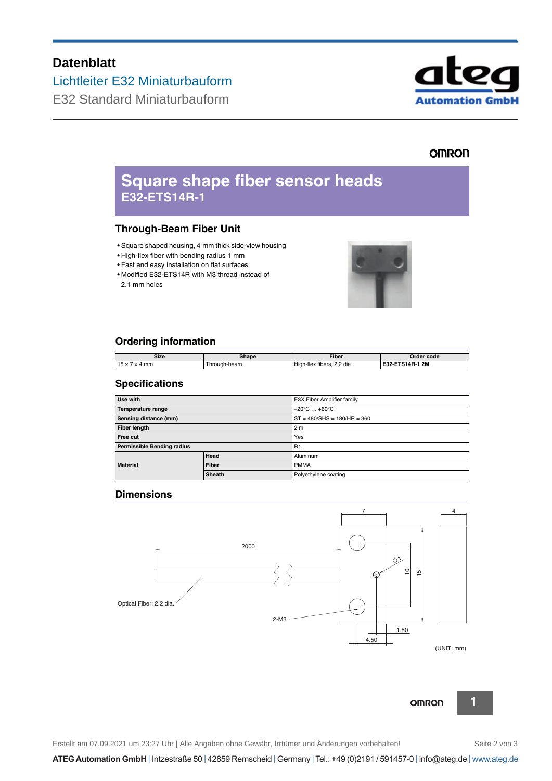# **Datenblatt**

Lichtleiter E32 Miniaturbauform

E32 Standard Miniaturbauform



## **OMRON**

# **Square shape fiber sensor heads E32-ETS14R-1**

## **Through-Beam Fiber Unit**

- Square shaped housing, 4 mm thick side-view housing
- High-flex fiber with bending radius 1 mm
- Fast and easy installation on flat surfaces
- Modified E32-ETS14R with M3 thread instead of 2.1 mm holes



## **Ordering information**

| Size | Shape      | Fiber                                            | Order<br>. code                   |
|------|------------|--------------------------------------------------|-----------------------------------|
| mm   | rough-beam | $-$<br>າ 2 dia<br>.<br>Hıat<br>tibers.<br>า-flex | 1 2 M<br>ETS14R-<br>roc.<br>E32-I |

## **Specifications**

| Use with                   |               | E3X Fiber Amplifier family       |  |
|----------------------------|---------------|----------------------------------|--|
| Temperature range          |               | $-20^{\circ}$ C $ +60^{\circ}$ C |  |
| Sensing distance (mm)      |               | $ST = 480/SHS = 180/HR = 360$    |  |
| <b>Fiber length</b>        |               | 2 <sub>m</sub>                   |  |
| Free cut                   |               | Yes                              |  |
| Permissible Bending radius |               | R <sub>1</sub>                   |  |
| <b>Material</b>            | Head          | Aluminum                         |  |
|                            | Fiber         | <b>PMMA</b>                      |  |
|                            | <b>Sheath</b> | Polyethylene coating             |  |

## **Dimensions**





**OMRON** 

Erstellt am 07.09.2021 um 23:27 Uhr | Alle Angaben ohne Gewähr, Irrtümer und Änderungen vorbehalten! Seite 2 von 3

**1**

**ATEG Automation GmbH** | Intzestraße 50 | 42859 Remscheid | Germany | Tel.: +49 (0)2191 / 591457-0 | info@ateg.de | www.ateg.de